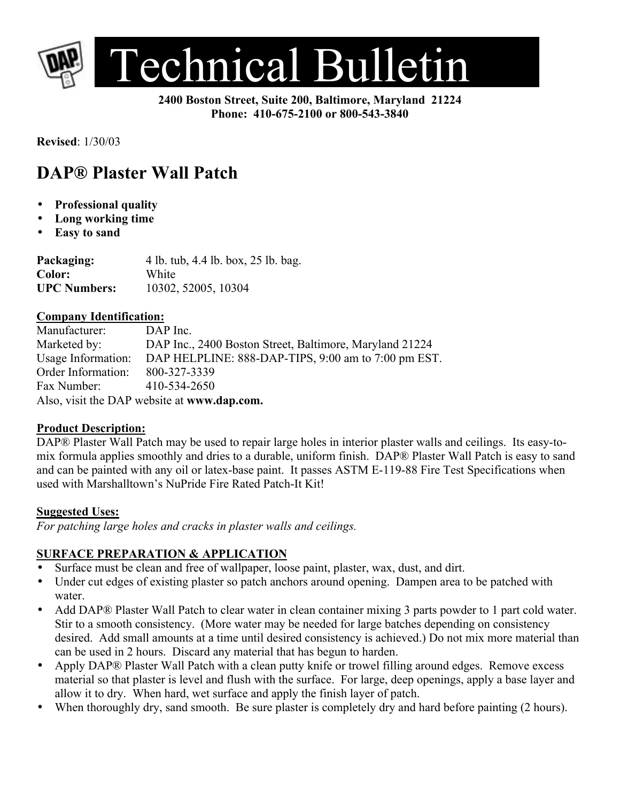

2400 Boston Street, Suite 200, Baltimore, Maryland 21224 Phone: 410-675-2100 or 800-543-3840

Revised: 1/30/03

# DAP® Plaster Wall Patch

- Professional quality
- Long working time
- Easy to sand

**Packaging:** 4 lb. tub, 4.4 lb. box, 25 lb. bag. Color: White UPC Numbers: 10302, 52005, 10304

# Company Identification:

Manufacturer: DAP Inc. Marketed by: DAP Inc., 2400 Boston Street, Baltimore, Maryland 21224 Usage Information: DAP HELPLINE: 888-DAP-TIPS, 9:00 am to 7:00 pm EST. Order Information: 800-327-3339 Fax Number: 410-534-2650 Also, visit the DAP website at www.dap.com.

# Product Description:

DAP® Plaster Wall Patch may be used to repair large holes in interior plaster walls and ceilings. Its easy-tomix formula applies smoothly and dries to a durable, uniform finish. DAP® Plaster Wall Patch is easy to sand and can be painted with any oil or latex-base paint. It passes ASTM E-119-88 Fire Test Specifications when used with Marshalltown's NuPride Fire Rated Patch-It Kit!

# Suggested Uses:

For patching large holes and cracks in plaster walls and ceilings.

# SURFACE PREPARATION & APPLICATION

- Surface must be clean and free of wallpaper, loose paint, plaster, wax, dust, and dirt.
- Under cut edges of existing plaster so patch anchors around opening. Dampen area to be patched with water.
- Add DAP® Plaster Wall Patch to clear water in clean container mixing 3 parts powder to 1 part cold water. Stir to a smooth consistency. (More water may be needed for large batches depending on consistency desired. Add small amounts at a time until desired consistency is achieved.) Do not mix more material than can be used in 2 hours. Discard any material that has begun to harden.
- Apply DAP® Plaster Wall Patch with a clean putty knife or trowel filling around edges. Remove excess material so that plaster is level and flush with the surface. For large, deep openings, apply a base layer and allow it to dry. When hard, wet surface and apply the finish layer of patch.
- When thoroughly dry, sand smooth. Be sure plaster is completely dry and hard before painting (2 hours).